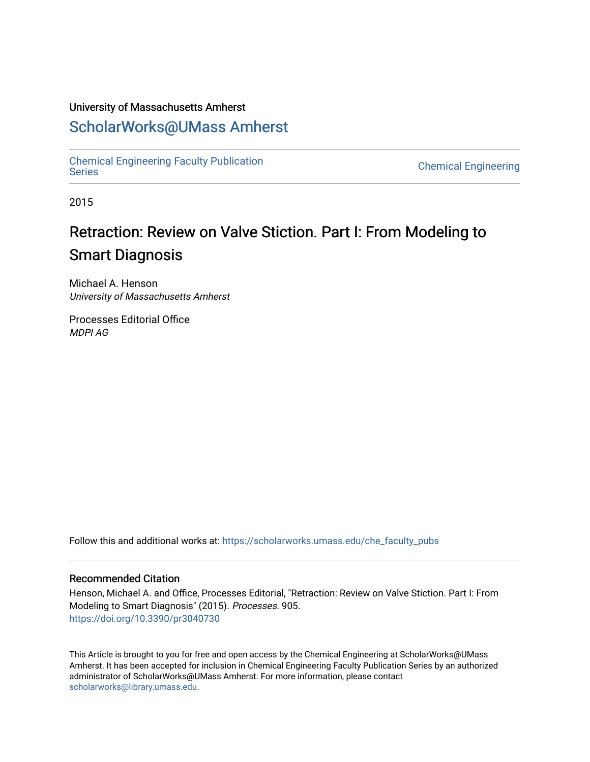#### University of Massachusetts Amherst

## [ScholarWorks@UMass Amherst](https://scholarworks.umass.edu/)

[Chemical Engineering Faculty Publication](https://scholarworks.umass.edu/che_faculty_pubs)

**Chemical Engineering** 

2015

# Retraction: Review on Valve Stiction. Part I: From Modeling to Smart Diagnosis

Michael A. Henson University of Massachusetts Amherst

Processes Editorial Office MDPI AG

Follow this and additional works at: [https://scholarworks.umass.edu/che\\_faculty\\_pubs](https://scholarworks.umass.edu/che_faculty_pubs?utm_source=scholarworks.umass.edu%2Fche_faculty_pubs%2F905&utm_medium=PDF&utm_campaign=PDFCoverPages) 

#### Recommended Citation

Henson, Michael A. and Office, Processes Editorial, "Retraction: Review on Valve Stiction. Part I: From Modeling to Smart Diagnosis" (2015). Processes. 905. <https://doi.org/10.3390/pr3040730>

This Article is brought to you for free and open access by the Chemical Engineering at ScholarWorks@UMass Amherst. It has been accepted for inclusion in Chemical Engineering Faculty Publication Series by an authorized administrator of ScholarWorks@UMass Amherst. For more information, please contact [scholarworks@library.umass.edu.](mailto:scholarworks@library.umass.edu)